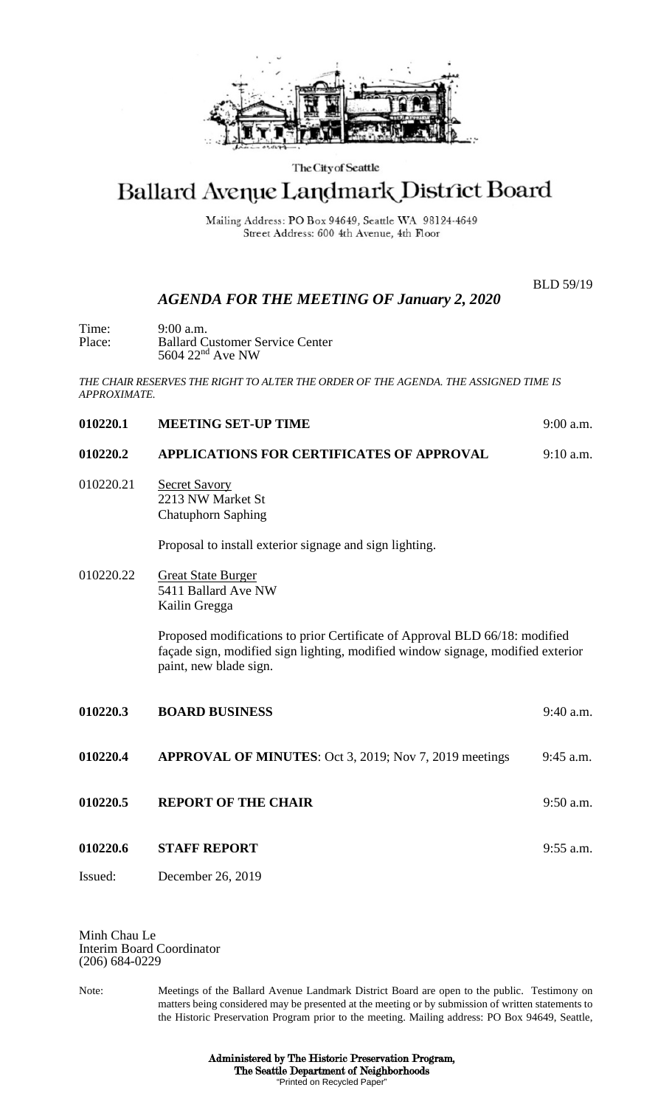

## The City of Seattle

## Ballard Avenue Landmark District Board

Mailing Address: PO Box 94649, Seattle WA 98124-4649 Street Address: 600 4th Avenue, 4th Floor

## *AGENDA FOR THE MEETING OF January 2, 2020*

BLD 59/19

| Time:  | 9:00a.m.                               |
|--------|----------------------------------------|
| Place: | <b>Ballard Customer Service Center</b> |
|        | 5604 $22nd$ Ave NW                     |

*THE CHAIR RESERVES THE RIGHT TO ALTER THE ORDER OF THE AGENDA. THE ASSIGNED TIME IS APPROXIMATE.*

| 010220.1  | <b>MEETING SET-UP TIME</b>                                                                                                                                                               | 9:00 a.m.   |
|-----------|------------------------------------------------------------------------------------------------------------------------------------------------------------------------------------------|-------------|
| 010220.2  | <b>APPLICATIONS FOR CERTIFICATES OF APPROVAL</b>                                                                                                                                         | $9:10$ a.m. |
| 010220.21 | <b>Secret Savory</b><br>2213 NW Market St<br><b>Chatuphorn Saphing</b>                                                                                                                   |             |
|           | Proposal to install exterior signage and sign lighting.                                                                                                                                  |             |
| 010220.22 | <b>Great State Burger</b><br>5411 Ballard Ave NW<br>Kailin Gregga                                                                                                                        |             |
|           | Proposed modifications to prior Certificate of Approval BLD 66/18: modified<br>façade sign, modified sign lighting, modified window signage, modified exterior<br>paint, new blade sign. |             |
| 010220.3  | <b>BOARD BUSINESS</b>                                                                                                                                                                    | $9:40$ a.m. |
| 010220.4  | <b>APPROVAL OF MINUTES:</b> Oct 3, 2019; Nov 7, 2019 meetings                                                                                                                            | 9:45 a.m.   |
| 010220.5  | <b>REPORT OF THE CHAIR</b>                                                                                                                                                               | 9:50 a.m.   |
| 010220.6  | <b>STAFF REPORT</b>                                                                                                                                                                      | $9:55$ a.m. |
| Issued:   | December 26, 2019                                                                                                                                                                        |             |

Minh Chau Le Interim Board Coordinator (206) 684-0229

Note: Meetings of the Ballard Avenue Landmark District Board are open to the public. Testimony on matters being considered may be presented at the meeting or by submission of written statements to the Historic Preservation Program prior to the meeting. Mailing address: PO Box 94649, Seattle,